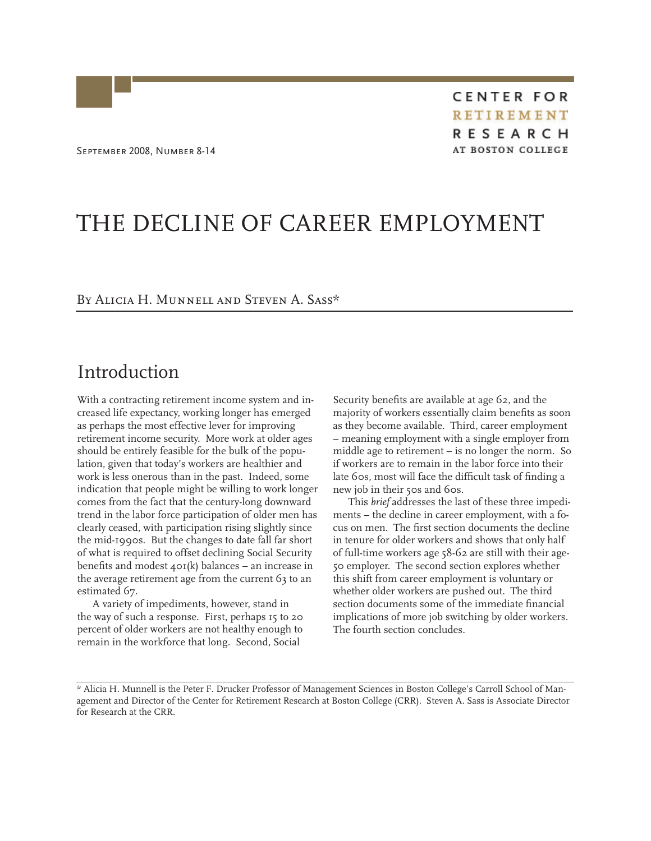**CENTER FOR RETIREMENT RESEARCH** AT BOSTON COLLEGE

# THE DECLINE OF CAREER EMPLOYMENT

### By Alicia H. Munnell and Steven A. Sass\*

## Introduction

With a contracting retirement income system and increased life expectancy, working longer has emerged as perhaps the most effective lever for improving retirement income security. More work at older ages should be entirely feasible for the bulk of the population, given that today's workers are healthier and work is less onerous than in the past. Indeed, some indication that people might be willing to work longer comes from the fact that the century-long downward trend in the labor force participation of older men has clearly ceased, with participation rising slightly since the mid-1990s. But the changes to date fall far short of what is required to offset declining Social Security benefits and modest  $40I(k)$  balances – an increase in the average retirement age from the current 63 to an estimated 67.

A variety of impediments, however, stand in the way of such a response. First, perhaps 15 to 20 percent of older workers are not healthy enough to remain in the workforce that long. Second, Social

Security benefits are available at age 62, and the majority of workers essentially claim benefits as soon as they become available. Third, career employment – meaning employment with a single employer from middle age to retirement – is no longer the norm. So if workers are to remain in the labor force into their late 60s, most will face the difficult task of finding a new job in their 50s and 60s.

This *brief* addresses the last of these three impediments – the decline in career employment, with a focus on men. The first section documents the decline in tenure for older workers and shows that only half of full-time workers age 58-62 are still with their age-50 employer. The second section explores whether this shift from career employment is voluntary or whether older workers are pushed out. The third section documents some of the immediate financial implications of more job switching by older workers. The fourth section concludes.

<sup>\*</sup> Alicia H. Munnell is the Peter F. Drucker Professor of Management Sciences in Boston College's Carroll School of Management and Director of the Center for Retirement Research at Boston College (CRR). Steven A. Sass is Associate Director for Research at the CRR.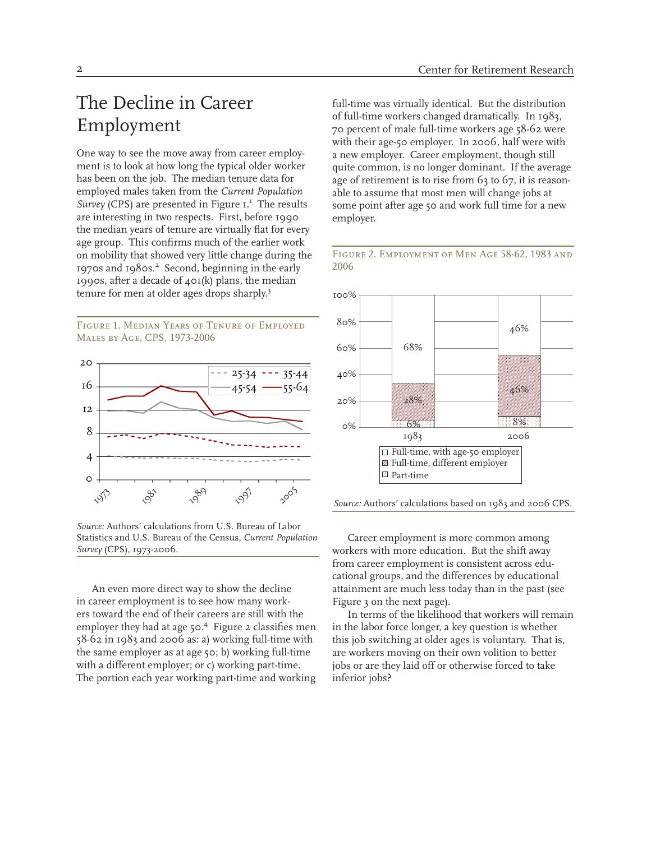# The Decline in Career Employment

One way to see the move away from career employment is to look at how long the typical older worker has been on the job. The median tenure data for employed males taken from the *Current Population*  Survey (CPS) are presented in Figure I.<sup>1</sup> The results are interesting in two respects. First, before 1990 the median years of tenure are virtually flat for every age group. This confirms much of the earlier work on mobility that showed very little change during the 1970s and 1980s.<sup>2</sup> Second, beginning in the early 1990s, after a decade of 401(k) plans, the median tenure for men at older ages drops sharply.<sup>3</sup>

Figure 1. Median Years of Tenure of Employed Males by Age, CPS, 1973-2006



*Source:* Authors' calculations from U.S. Bureau of Labor Statistics and U.S. Bureau of the Census, *Current Population Survey* (CPS), 1973-2006.

An even more direct way to show the decline in career employment is to see how many workers toward the end of their careers are still with the employer they had at age 50.<sup>4</sup> Figure 2 classifies men 58-62 in 1983 and 2006 as: a) working full-time with the same employer as at age 50; b) working full-time with a different employer; or c) working part-time. The portion each year working part-time and working

full-time was virtually identical. But the distribution of full-time workers changed dramatically. In 1983, 70 percent of male full-time workers age 58-62 were with their age-50 employer. In 2006, half were with a new employer. Career employment, though still quite common, is no longer dominant. If the average age of retirement is to rise from 63 to 67, it is reasonable to assume that most men will change jobs at some point after age 50 and work full time for a new employer.



Figure 2. Employment of Men Age 58-62, 1983 and



*Source:* Authors' calculations based on 1983 and 2006 CPS.

Career employment is more common among workers with more education. But the shift away from career employment is consistent across educational groups, and the differences by educational attainment are much less today than in the past (see Figure 3 on the next page).

In terms of the likelihood that workers will remain in the labor force longer, a key question is whether this job switching at older ages is voluntary. That is, are workers moving on their own volition to better jobs or are they laid off or otherwise forced to take inferior jobs?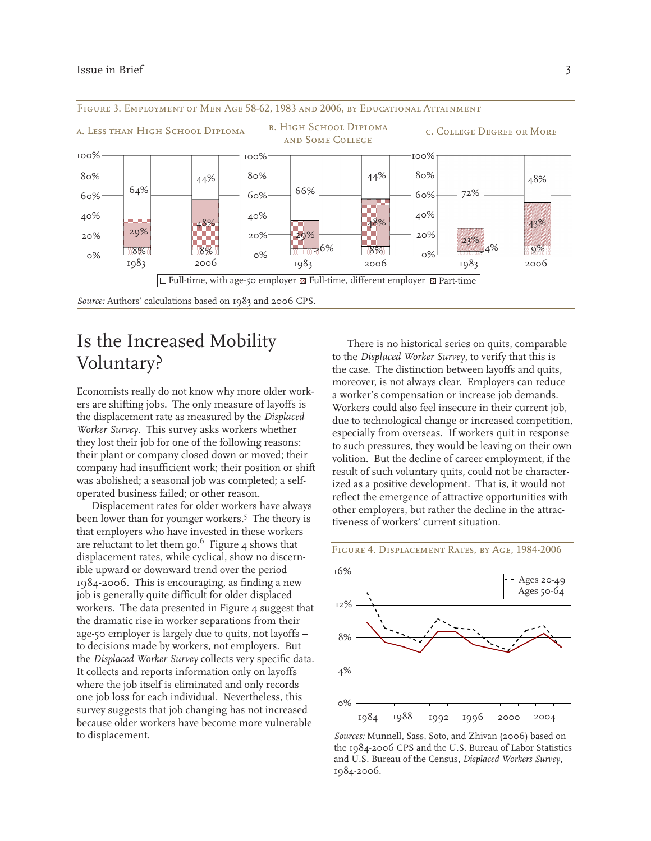

## Is the Increased Mobility Voluntary?

Economists really do not know why more older workers are shifting jobs. The only measure of layoffs is the displacement rate as measured by the *Displaced Worker Survey*. This survey asks workers whether they lost their job for one of the following reasons: their plant or company closed down or moved; their company had insufficient work; their position or shift was abolished; a seasonal job was completed; a selfoperated business failed; or other reason.

Displacement rates for older workers have always been lower than for younger workers.<sup>5</sup> The theory is that employers who have invested in these workers are reluctant to let them go. $6$  Figure 4 shows that displacement rates, while cyclical, show no discernible upward or downward trend over the period 1984-2006. This is encouraging, as finding a new job is generally quite difficult for older displaced workers. The data presented in Figure 4 suggest that the dramatic rise in worker separations from their age-50 employer is largely due to quits, not layoffs – to decisions made by workers, not employers. But the *Displaced Worker Survey* collects very specific data. It collects and reports information only on layoffs where the job itself is eliminated and only records one job loss for each individual. Nevertheless, this survey suggests that job changing has not increased because older workers have become more vulnerable to displacement.

There is no historical series on quits, comparable to the *Displaced Worker Survey*, to verify that this is the case. The distinction between layoffs and quits, moreover, is not always clear. Employers can reduce a worker's compensation or increase job demands. Workers could also feel insecure in their current job, due to technological change or increased competition, especially from overseas. If workers quit in response to such pressures, they would be leaving on their own volition. But the decline of career employment, if the result of such voluntary quits, could not be characterized as a positive development. That is, it would not reflect the emergence of attractive opportunities with other employers, but rather the decline in the attractiveness of workers' current situation.

#### Figure 4. Displacement Rates, by Age, 1984-2006



*Sources:* Munnell, Sass, Soto, and Zhivan (2006) based on the 1984-2006 CPS and the U.S. Bureau of Labor Statistics and U.S. Bureau of the Census, *Displaced Workers Survey*, 1984-2006.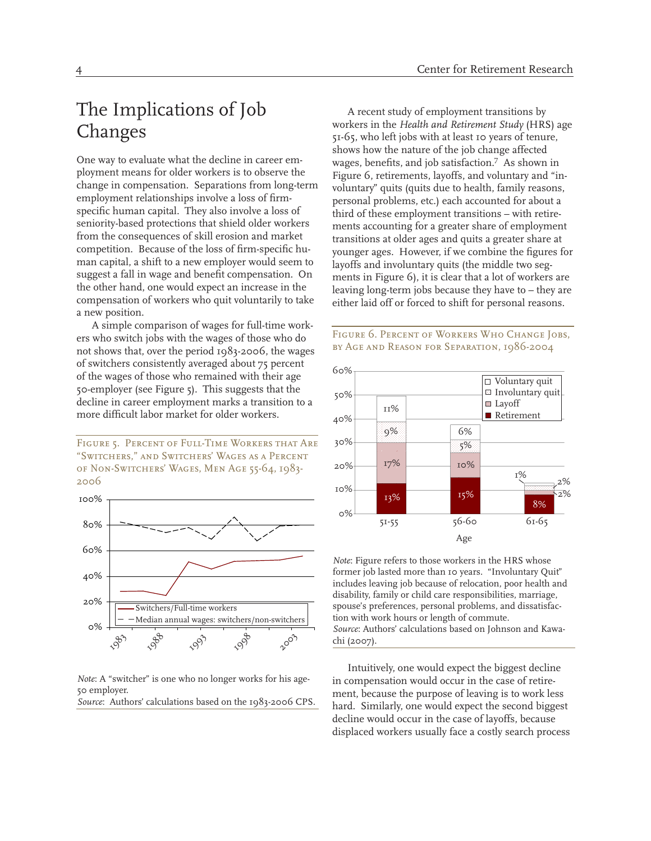# The Implications of Job Changes

One way to evaluate what the decline in career employment means for older workers is to observe the change in compensation. Separations from long-term employment relationships involve a loss of firmspecific human capital. They also involve a loss of seniority-based protections that shield older workers from the consequences of skill erosion and market competition. Because of the loss of firm-specific human capital, a shift to a new employer would seem to suggest a fall in wage and benefit compensation. On the other hand, one would expect an increase in the compensation of workers who quit voluntarily to take a new position.

A simple comparison of wages for full-time workers who switch jobs with the wages of those who do not shows that, over the period 1983-2006, the wages of switchers consistently averaged about 75 percent of the wages of those who remained with their age 50-employer (see Figure 5). This suggests that the decline in career employment marks a transition to a more difficult labor market for older workers.

*Figure 5. Percent of Full-Time Workers that Are "Switchers," and Switchers' Wages as a Percent of Non-Switchers' Wages, Men Age 55-64, 1983- 2006*



*Note*: A "switcher" is one who no longer works for his age-50 employer.

*Source*: Authors' calculations based on the 1983-2006 CPS.

A recent study of employment transitions by workers in the *Health and Retirement Study* (HRS) age 51-65, who left jobs with at least 10 years of tenure, shows how the nature of the job change affected wages, benefits, and job satisfaction.7 As shown in Figure 6, retirements, layoffs, and voluntary and "involuntary" quits (quits due to health, family reasons, personal problems, etc.) each accounted for about a third of these employment transitions – with retirements accounting for a greater share of employment transitions at older ages and quits a greater share at younger ages. However, if we combine the figures for layoffs and involuntary quits (the middle two segments in Figure 6), it is clear that a lot of workers are leaving long-term jobs because they have to – they are either laid off or forced to shift for personal reasons.



*Note*: Figure refers to those workers in the HRS whose former job lasted more than 10 years. "Involuntary Quit" includes leaving job because of relocation, poor health and disability, family or child care responsibilities, marriage, spouse's preferences, personal problems, and dissatisfaction with work hours or length of commute. *Source*: Authors' calculations based on Johnson and Kawachi (2007).

Intuitively, one would expect the biggest decline in compensation would occur in the case of retirement, because the purpose of leaving is to work less hard. Similarly, one would expect the second biggest decline would occur in the case of layoffs, because displaced workers usually face a costly search process

#### *Figure 6. Percent of Workers Who Change Jobs, by Age and Reason for Separation, 1986-2004*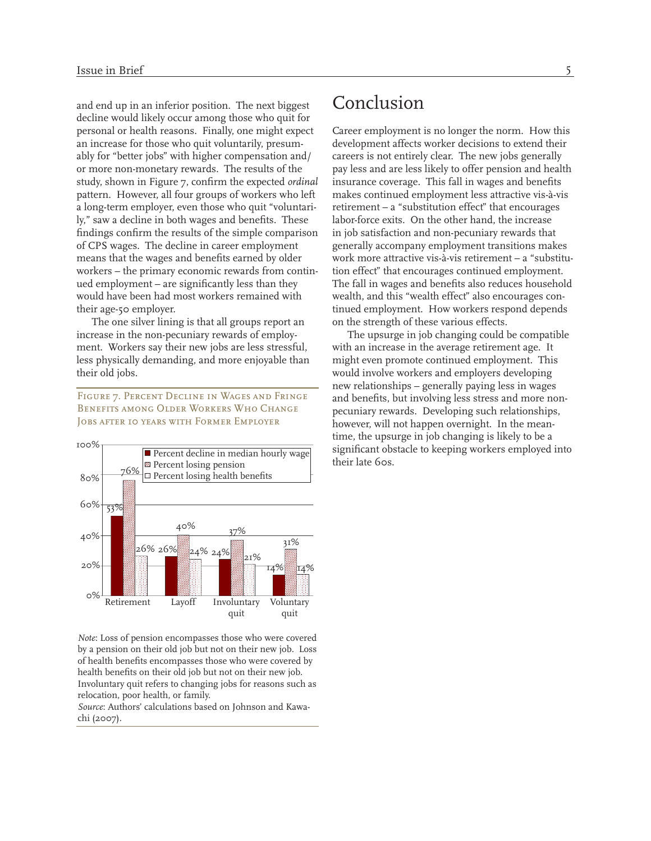and end up in an inferior position. The next biggest decline would likely occur among those who quit for personal or health reasons. Finally, one might expect an increase for those who quit voluntarily, presumably for "better jobs" with higher compensation and/ or more non-monetary rewards. The results of the study, shown in Figure 7, confirm the expected *ordinal* pattern. However, all four groups of workers who left a long-term employer, even those who quit "voluntarily," saw a decline in both wages and benefits. These findings confirm the results of the simple comparison of CPS wages. The decline in career employment means that the wages and benefits earned by older workers – the primary economic rewards from continued employment – are significantly less than they would have been had most workers remained with their age-50 employer.

The one silver lining is that all groups report an increase in the non-pecuniary rewards of employment. Workers say their new jobs are less stressful, less physically demanding, and more enjoyable than their old jobs.

*Figure 7. Percent Decline in Wages and Fringe Benefits among Older Workers Who Change Jobs after 10 years with Former Employer* 



*Note*: Loss of pension encompasses those who were covered by a pension on their old job but not on their new job. Loss of health benefits encompasses those who were covered by health benefits on their old job but not on their new job. Involuntary quit refers to changing jobs for reasons such as relocation, poor health, or family.

*Source*: Authors' calculations based on Johnson and Kawachi (2007).

## Conclusion

Career employment is no longer the norm. How this development affects worker decisions to extend their careers is not entirely clear. The new jobs generally pay less and are less likely to offer pension and health insurance coverage. This fall in wages and benefits makes continued employment less attractive vis-à-vis retirement – a "substitution effect" that encourages labor-force exits. On the other hand, the increase in job satisfaction and non-pecuniary rewards that generally accompany employment transitions makes work more attractive vis-à-vis retirement – a "substitution effect" that encourages continued employment. The fall in wages and benefits also reduces household wealth, and this "wealth effect" also encourages continued employment. How workers respond depends on the strength of these various effects.

The upsurge in job changing could be compatible with an increase in the average retirement age. It might even promote continued employment. This would involve workers and employers developing new relationships – generally paying less in wages and benefits, but involving less stress and more nonpecuniary rewards. Developing such relationships, however, will not happen overnight. In the meantime, the upsurge in job changing is likely to be a significant obstacle to keeping workers employed into their late 60s.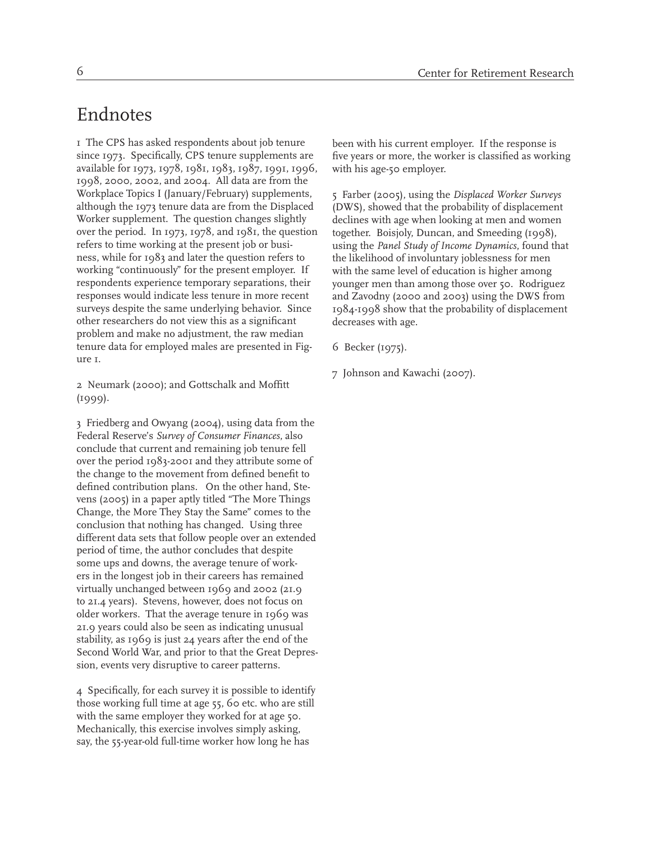## Endnotes

1 The CPS has asked respondents about job tenure since 1973. Specifically, CPS tenure supplements are available for 1973, 1978, 1981, 1983, 1987, 1991, 1996, 1998, 2000, 2002, and 2004. All data are from the Workplace Topics I (January/February) supplements, although the 1973 tenure data are from the Displaced Worker supplement. The question changes slightly over the period. In 1973, 1978, and 1981, the question refers to time working at the present job or business, while for 1983 and later the question refers to working "continuously" for the present employer. If respondents experience temporary separations, their responses would indicate less tenure in more recent surveys despite the same underlying behavior. Since other researchers do not view this as a significant problem and make no adjustment, the raw median tenure data for employed males are presented in Figure 1.

2 Neumark (2000); and Gottschalk and Moffitt  $(1999)$ .

3 Friedberg and Owyang (2004), using data from the Federal Reserve's *Survey of Consumer Finances*, also conclude that current and remaining job tenure fell over the period 1983-2001 and they attribute some of the change to the movement from defined benefit to defined contribution plans. On the other hand, Stevens (2005) in a paper aptly titled "The More Things Change, the More They Stay the Same" comes to the conclusion that nothing has changed. Using three different data sets that follow people over an extended period of time, the author concludes that despite some ups and downs, the average tenure of workers in the longest job in their careers has remained virtually unchanged between 1969 and 2002 (21.9 to 21.4 years). Stevens, however, does not focus on older workers. That the average tenure in 1969 was 21.9 years could also be seen as indicating unusual stability, as 1969 is just 24 years after the end of the Second World War, and prior to that the Great Depression, events very disruptive to career patterns.

4 Specifically, for each survey it is possible to identify those working full time at age 55, 60 etc. who are still with the same employer they worked for at age 50. Mechanically, this exercise involves simply asking, say, the 55-year-old full-time worker how long he has

been with his current employer. If the response is five years or more, the worker is classified as working with his age-50 employer.

5 Farber (2005), using the *Displaced Worker Surveys* (DWS), showed that the probability of displacement declines with age when looking at men and women together. Boisjoly, Duncan, and Smeeding (1998), using the *Panel Study of Income Dynamics*, found that the likelihood of involuntary joblessness for men with the same level of education is higher among younger men than among those over 50. Rodriguez and Zavodny (2000 and 2003) using the DWS from 1984-1998 show that the probability of displacement decreases with age.

- 6 Becker (1975).
- 7 Johnson and Kawachi (2007).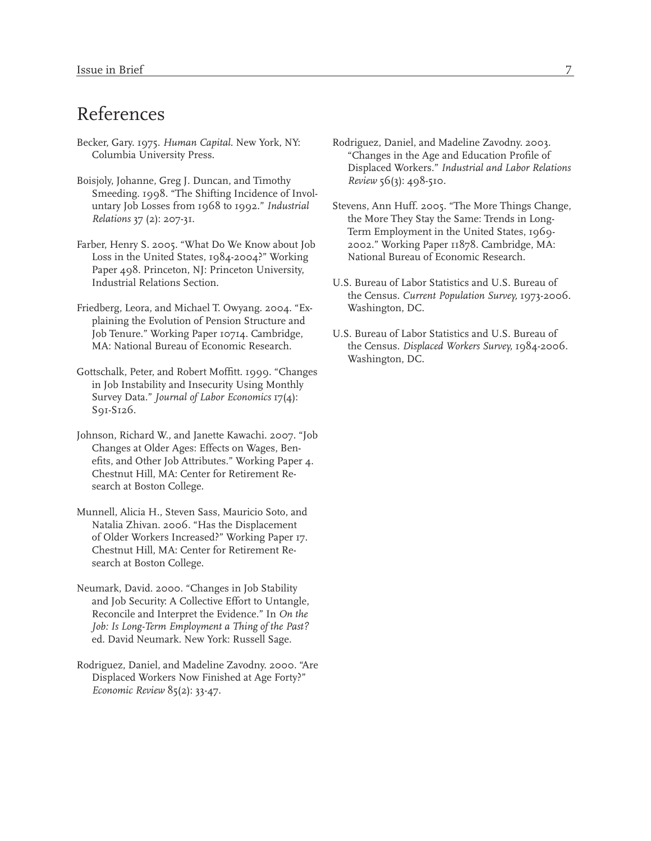# References

- Becker, Gary. 1975. *Human Capital*. New York, NY: Columbia University Press.
- Boisjoly, Johanne, Greg J. Duncan, and Timothy Smeeding. 1998. "The Shifting Incidence of Involuntary Job Losses from 1968 to 1992." *Industrial Relations* 37 (2): 207-31.
- Farber, Henry S. 2005. "What Do We Know about Job Loss in the United States, 1984-2004?" Working Paper 498. Princeton, NJ: Princeton University, Industrial Relations Section.
- Friedberg, Leora, and Michael T. Owyang. 2004. "Explaining the Evolution of Pension Structure and Job Tenure." Working Paper 10714. Cambridge, MA: National Bureau of Economic Research.
- Gottschalk, Peter, and Robert Moffitt. 1999. "Changes in Job Instability and Insecurity Using Monthly Survey Data." *Journal of Labor Economics* 17(4): S91-S126.
- Johnson, Richard W., and Janette Kawachi. 2007. "Job Changes at Older Ages: Effects on Wages, Benefits, and Other Job Attributes." Working Paper 4. Chestnut Hill, MA: Center for Retirement Research at Boston College.
- Munnell, Alicia H., Steven Sass, Mauricio Soto, and Natalia Zhivan. 2006. "Has the Displacement of Older Workers Increased?" Working Paper 17. Chestnut Hill, MA: Center for Retirement Research at Boston College.
- Neumark, David. 2000. "Changes in Job Stability and Job Security: A Collective Effort to Untangle, Reconcile and Interpret the Evidence." In *On the Job: Is Long-Term Employment a Thing of the Past?* ed. David Neumark. New York: Russell Sage.
- Rodriguez, Daniel, and Madeline Zavodny. 2000. "Are Displaced Workers Now Finished at Age Forty?" *Economic Review* 85(2): 33-47.
- Rodriguez, Daniel, and Madeline Zavodny. 2003. "Changes in the Age and Education Profile of Displaced Workers." *Industrial and Labor Relations Review* 56(3): 498-510.
- Stevens, Ann Huff. 2005. "The More Things Change, the More They Stay the Same: Trends in Long-Term Employment in the United States, 1969- 2002." Working Paper 11878. Cambridge, MA: National Bureau of Economic Research.
- U.S. Bureau of Labor Statistics and U.S. Bureau of the Census. *Current Population Survey,* 1973-2006. Washington, DC.
- U.S. Bureau of Labor Statistics and U.S. Bureau of the Census. *Displaced Workers Survey,* 1984-2006. Washington, DC.